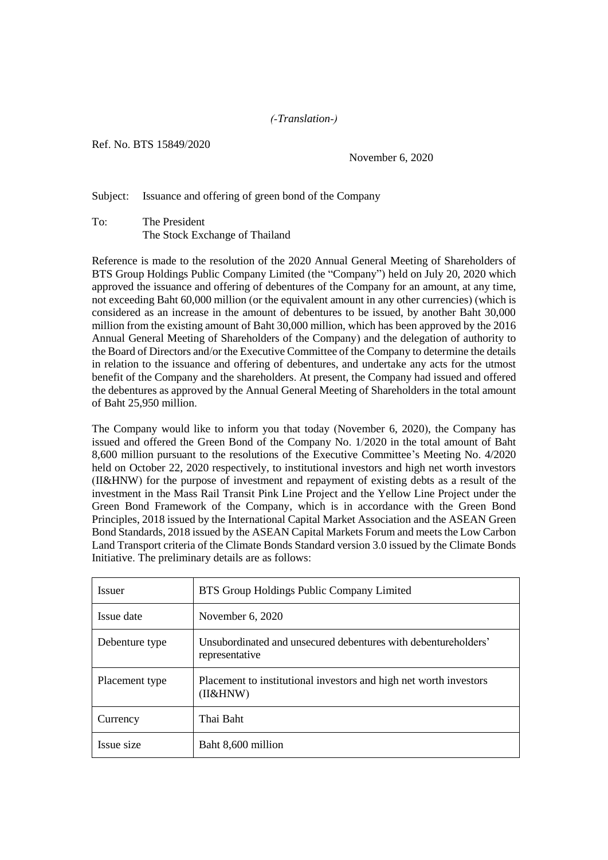## *(-Translation-)*

Ref. No. BTS 15849/2020

November 6, 2020

Subject: Issuance and offering of green bond of the Company

To: The President The Stock Exchange of Thailand

Reference is made to the resolution of the 2020 Annual General Meeting of Shareholders of BTS Group Holdings Public Company Limited (the "Company") held on July 20, 2020 which approved the issuance and offering of debentures of the Company for an amount, at any time, not exceeding Baht 60,000 million (or the equivalent amount in any other currencies) (which is considered as an increase in the amount of debentures to be issued, by another Baht 30,000 million from the existing amount of Baht 30,000 million, which has been approved by the 2016 Annual General Meeting of Shareholders of the Company) and the delegation of authority to the Board of Directors and/or the Executive Committee of the Company to determine the details in relation to the issuance and offering of debentures, and undertake any acts for the utmost benefit of the Company and the shareholders. At present, the Company had issued and offered the debentures as approved by the Annual General Meeting of Shareholders in the total amount of Baht 25,950 million.

The Company would like to inform you that today (November 6, 2020), the Company has issued and offered the Green Bond of the Company No. 1/2020 in the total amount of Baht 8,600 million pursuant to the resolutions of the Executive Committee's Meeting No. 4/2020 held on October 22, 2020 respectively, to institutional investors and high net worth investors (II&HNW) for the purpose of investment and repayment of existing debts as a result of the investment in the Mass Rail Transit Pink Line Project and the Yellow Line Project under the Green Bond Framework of the Company, which is in accordance with the Green Bond Principles, 2018 issued by the International Capital Market Association and the ASEAN Green Bond Standards, 2018 issued by the ASEAN Capital Markets Forum and meets the Low Carbon Land Transport criteria of the Climate Bonds Standard version 3.0 issued by the Climate Bonds Initiative. The preliminary details are as follows:

| <b>Issuer</b>  | BTS Group Holdings Public Company Limited                                        |
|----------------|----------------------------------------------------------------------------------|
| Issue date     | November 6, 2020                                                                 |
| Debenture type | Unsubordinated and unsecured debentures with debentureholders'<br>representative |
| Placement type | Placement to institutional investors and high net worth investors<br>(II&HNW)    |
| Currency       | Thai Baht                                                                        |
| Issue size     | Baht 8,600 million                                                               |